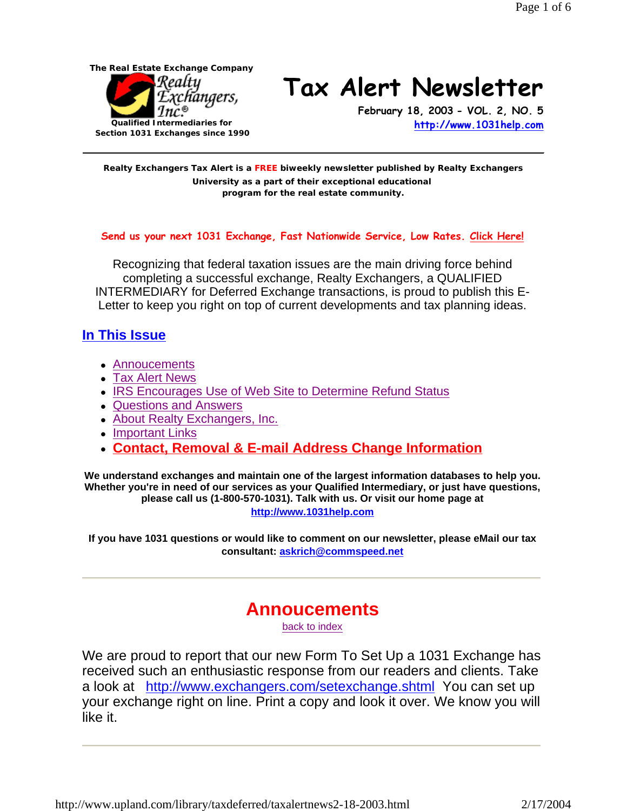

# **Tax Alert Newsletter**

**February 18, 2003 - VOL. 2, NO. 5 http://www.1031help.com**

**Realty Exchangers Tax Alert is a FREE biweekly newsletter published by Realty Exchangers University as a part of their exceptional educational program for the real estate community.** 

#### **Send us your next 1031 Exchange, Fast Nationwide Service, Low Rates. Click Here!**

Recognizing that federal taxation issues are the main driving force behind completing a successful exchange, Realty Exchangers, a QUALIFIED INTERMEDIARY for Deferred Exchange transactions, is proud to publish this E-Letter to keep you right on top of current developments and tax planning ideas.

#### **In This Issue**

- Annoucements
- Tax Alert News
- IRS Encourages Use of Web Site to Determine Refund Status
- Questions and Answers
- About Realty Exchangers, Inc.
- Important Links
- **contact, Removal & E-mail Address Change Information**

**We understand exchanges and maintain one of the largest information databases to help you. Whether you're in need of our services as your Qualified Intermediary, or just have questions, please call us (1-800-570-1031). Talk with us. Or visit our home page at http://www.1031help.com**

**If you have 1031 questions or would like to comment on our newsletter, please eMail our tax consultant: askrich@commspeed.net**

## **Annoucements**

back to index

We are proud to report that our new Form To Set Up a 1031 Exchange has received such an enthusiastic response from our readers and clients. Take a look at http://www.exchangers.com/setexchange.shtml You can set up your exchange right on line. Print a copy and look it over. We know you will like it.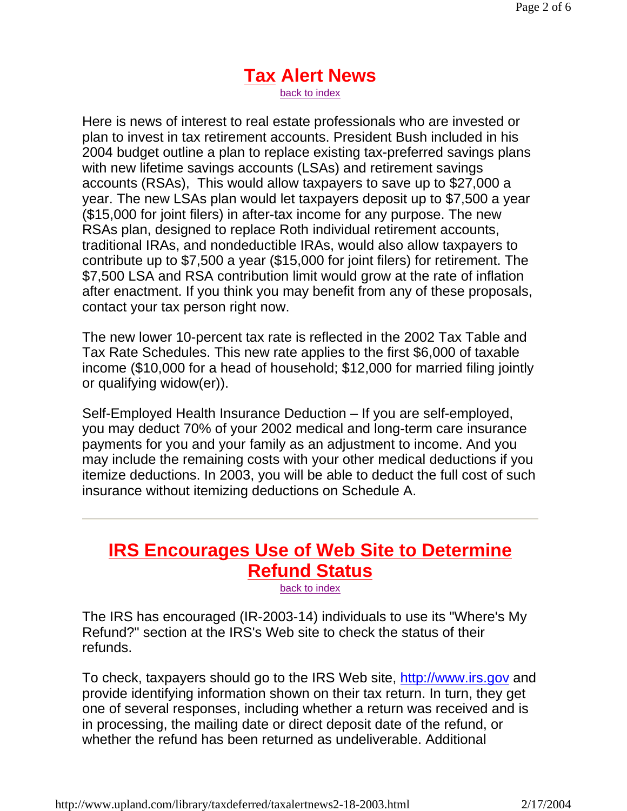### **Tax Alert News** back to index

Here is news of interest to real estate professionals who are invested or plan to invest in tax retirement accounts. President Bush included in his 2004 budget outline a plan to replace existing tax-preferred savings plans with new lifetime savings accounts (LSAs) and retirement savings accounts (RSAs), This would allow taxpayers to save up to \$27,000 a year. The new LSAs plan would let taxpayers deposit up to \$7,500 a year (\$15,000 for joint filers) in after-tax income for any purpose. The new RSAs plan, designed to replace Roth individual retirement accounts, traditional IRAs, and nondeductible IRAs, would also allow taxpayers to contribute up to \$7,500 a year (\$15,000 for joint filers) for retirement. The \$7,500 LSA and RSA contribution limit would grow at the rate of inflation after enactment. If you think you may benefit from any of these proposals, contact your tax person right now.

The new lower 10-percent tax rate is reflected in the 2002 Tax Table and Tax Rate Schedules. This new rate applies to the first \$6,000 of taxable income (\$10,000 for a head of household; \$12,000 for married filing jointly or qualifying widow(er)).

Self-Employed Health Insurance Deduction – If you are self-employed, you may deduct 70% of your 2002 medical and long-term care insurance payments for you and your family as an adjustment to income. And you may include the remaining costs with your other medical deductions if you itemize deductions. In 2003, you will be able to deduct the full cost of such insurance without itemizing deductions on Schedule A.

# **IRS Encourages Use of Web Site to Determine Refund Status**

back to index

The IRS has encouraged (IR-2003-14) individuals to use its "Where's My Refund?" section at the IRS's Web site to check the status of their refunds.

To check, taxpayers should go to the IRS Web site, http://www.irs.gov and provide identifying information shown on their tax return. In turn, they get one of several responses, including whether a return was received and is in processing, the mailing date or direct deposit date of the refund, or whether the refund has been returned as undeliverable. Additional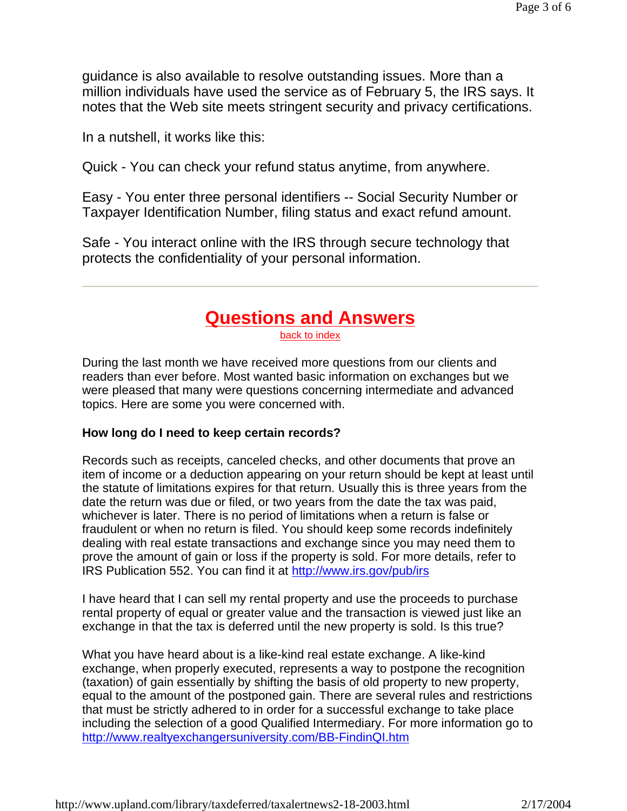guidance is also available to resolve outstanding issues. More than a million individuals have used the service as of February 5, the IRS says. It notes that the Web site meets stringent security and privacy certifications.

In a nutshell, it works like this:

Quick - You can check your refund status anytime, from anywhere.

Easy - You enter three personal identifiers -- Social Security Number or Taxpayer Identification Number, filing status and exact refund amount.

Safe - You interact online with the IRS through secure technology that protects the confidentiality of your personal information.

## **Questions and Answers**

back to index

During the last month we have received more questions from our clients and readers than ever before. Most wanted basic information on exchanges but we were pleased that many were questions concerning intermediate and advanced topics. Here are some you were concerned with.

#### **How long do I need to keep certain records?**

Records such as receipts, canceled checks, and other documents that prove an item of income or a deduction appearing on your return should be kept at least until the statute of limitations expires for that return. Usually this is three years from the date the return was due or filed, or two years from the date the tax was paid, whichever is later. There is no period of limitations when a return is false or fraudulent or when no return is filed. You should keep some records indefinitely dealing with real estate transactions and exchange since you may need them to prove the amount of gain or loss if the property is sold. For more details, refer to IRS Publication 552. You can find it at http://www.irs.gov/pub/irs

I have heard that I can sell my rental property and use the proceeds to purchase rental property of equal or greater value and the transaction is viewed just like an exchange in that the tax is deferred until the new property is sold. Is this true?

What you have heard about is a like-kind real estate exchange. A like-kind exchange, when properly executed, represents a way to postpone the recognition (taxation) of gain essentially by shifting the basis of old property to new property, equal to the amount of the postponed gain. There are several rules and restrictions that must be strictly adhered to in order for a successful exchange to take place including the selection of a good Qualified Intermediary. For more information go to http://www.realtyexchangersuniversity.com/BB-FindinQI.htm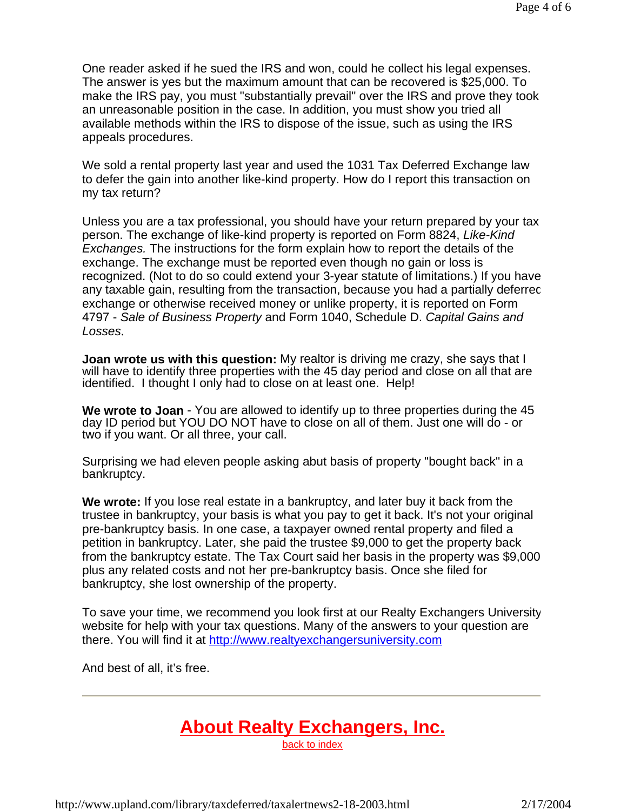One reader asked if he sued the IRS and won, could he collect his legal expenses. The answer is yes but the maximum amount that can be recovered is \$25,000. To make the IRS pay, you must "substantially prevail" over the IRS and prove they took an unreasonable position in the case. In addition, you must show you tried all available methods within the IRS to dispose of the issue, such as using the IRS appeals procedures.

We sold a rental property last year and used the 1031 Tax Deferred Exchange law to defer the gain into another like-kind property. How do I report this transaction on my tax return?

Unless you are a tax professional, you should have your return prepared by your tax person. The exchange of like-kind property is reported on Form 8824, *Like-Kind Exchanges.* The instructions for the form explain how to report the details of the exchange. The exchange must be reported even though no gain or loss is recognized. (Not to do so could extend your 3-year statute of limitations.) If you have any taxable gain, resulting from the transaction, because you had a partially deferred exchange or otherwise received money or unlike property, it is reported on Form 4797 - *Sale of Business Property* and Form 1040, Schedule D. *Capital Gains and Losses*.

**Joan wrote us with this question:** My realtor is driving me crazy, she says that I will have to identify three properties with the 45 day period and close on all that are identified. I thought I only had to close on at least one. Help!

**We wrote to Joan** - You are allowed to identify up to three properties during the 45 day ID period but YOU DO NOT have to close on all of them. Just one will do - or two if you want. Or all three, your call.

Surprising we had eleven people asking abut basis of property "bought back" in a bankruptcy.

**We wrote:** If you lose real estate in a bankruptcy, and later buy it back from the trustee in bankruptcy, your basis is what you pay to get it back. It's not your original pre-bankruptcy basis. In one case, a taxpayer owned rental property and filed a petition in bankruptcy. Later, she paid the trustee \$9,000 to get the property back from the bankruptcy estate. The Tax Court said her basis in the property was \$9,000 plus any related costs and not her pre-bankruptcy basis. Once she filed for bankruptcy, she lost ownership of the property.

To save your time, we recommend you look first at our Realty Exchangers University website for help with your tax questions. Many of the answers to your question are there. You will find it at http://www.realtyexchangersuniversity.com

And best of all, it's free.

# **About Realty Exchangers, Inc.**

back to index

http://www.upland.com/library/taxdeferred/taxalertnews2-18-2003.html 2/17/2004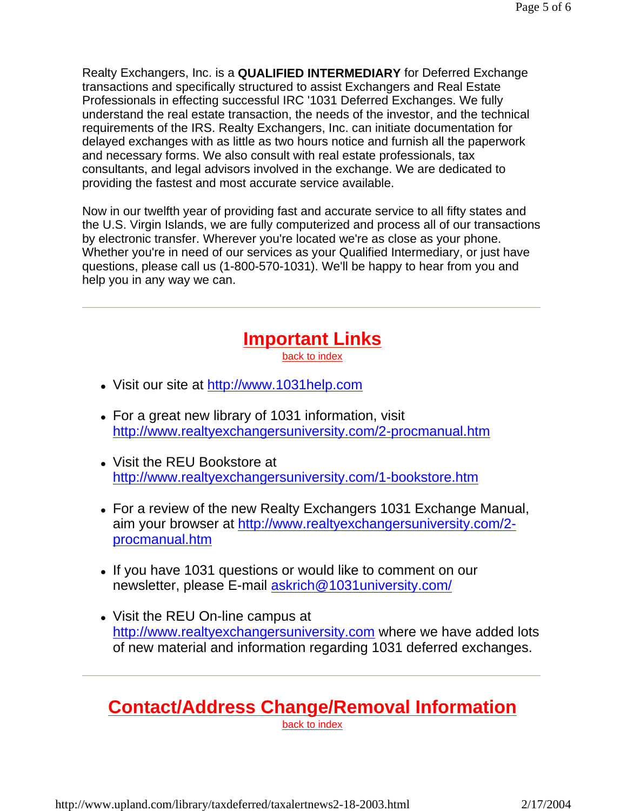Realty Exchangers, Inc. is a **QUALIFIED INTERMEDIARY** for Deferred Exchange transactions and specifically structured to assist Exchangers and Real Estate Professionals in effecting successful IRC '1031 Deferred Exchanges. We fully understand the real estate transaction, the needs of the investor, and the technical requirements of the IRS. Realty Exchangers, Inc. can initiate documentation for delayed exchanges with as little as two hours notice and furnish all the paperwork and necessary forms. We also consult with real estate professionals, tax consultants, and legal advisors involved in the exchange. We are dedicated to providing the fastest and most accurate service available.

Now in our twelfth year of providing fast and accurate service to all fifty states and the U.S. Virgin Islands, we are fully computerized and process all of our transactions by electronic transfer. Wherever you're located we're as close as your phone. Whether you're in need of our services as your Qualified Intermediary, or just have questions, please call us (1-800-570-1031). We'll be happy to hear from you and help you in any way we can.

### **Important Links** back to index

- Visit our site at http://www.1031help.com
- For a great new library of 1031 information, visit http://www.realtyexchangersuniversity.com/2-procmanual.htm
- Visit the REU Bookstore at http://www.realtyexchangersuniversity.com/1-bookstore.htm
- For a review of the new Realty Exchangers 1031 Exchange Manual, aim your browser at http://www.realtyexchangersuniversity.com/2 procmanual.htm
- If you have 1031 questions or would like to comment on our newsletter, please E-mail askrich@1031university.com/
- Visit the REU On-line campus at http://www.realtyexchangersuniversity.com where we have added lots of new material and information regarding 1031 deferred exchanges.

# **Contact/Address Change/Removal Information**

back to index